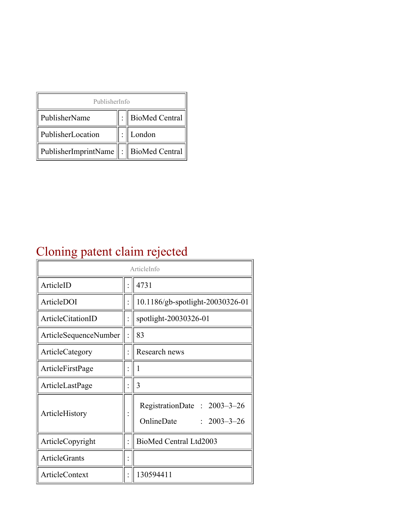| PublisherInfo                         |  |                    |  |  |
|---------------------------------------|--|--------------------|--|--|
| PublisherName                         |  | :   BioMed Central |  |  |
| PublisherLocation                     |  | London             |  |  |
| PublisherImprintName : BioMed Central |  |                    |  |  |

## Cloning patent claim rejected

| ArticleInfo            |  |                                                                |
|------------------------|--|----------------------------------------------------------------|
| ArticleID              |  | 4731                                                           |
| ArticleDOI             |  | 10.1186/gb-spotlight-20030326-01                               |
| ArticleCitationID      |  | spotlight-20030326-01                                          |
| ArticleSequenceNumber  |  | 83                                                             |
| <b>ArticleCategory</b> |  | Research news                                                  |
| ArticleFirstPage       |  | 1                                                              |
| ArticleLastPage        |  | 3                                                              |
| ArticleHistory         |  | RegistrationDate: 2003-3-26<br>OnlineDate<br>$: 2003 - 3 - 26$ |
| ArticleCopyright       |  | BioMed Central Ltd2003                                         |
| ArticleGrants          |  |                                                                |
| <b>ArticleContext</b>  |  | 130594411                                                      |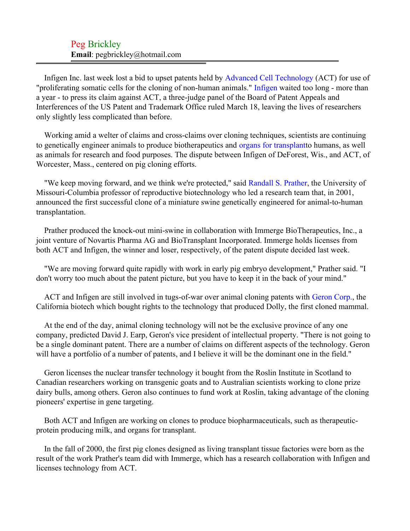Infigen Inc. last week lost a bid to upset patents held by [Advanced Cell Technology](#page-2-0) (ACT) for use of "proliferating somatic cells for the cloning of non-human animals." [Infigen](#page-2-1) waited too long - more than a year - to press its claim against ACT, a three-judge panel of the Board of Patent Appeals and Interferences of the US Patent and Trademark Office ruled March 18, leaving the lives of researchers only slightly less complicated than before.

Working amid a welter of claims and cross-claims over cloning techniques, scientists are continuing to genetically engineer animals to produce biotherapeutics and [organs for transplantt](#page-2-2)o humans, as well as animals for research and food purposes. The dispute between Infigen of DeForest, Wis., and ACT, of Worcester, Mass., centered on pig cloning efforts.

"We keep moving forward, and we think we're protected," said [Randall S. Prather,](#page-2-3) the University of Missouri-Columbia professor of reproductive biotechnology who led a research team that, in 2001, announced the first successful clone of a miniature swine genetically engineered for animal-to-human transplantation.

Prather produced the knock-out mini-swine in collaboration with Immerge BioTherapeutics, Inc., a joint venture of Novartis Pharma AG and BioTransplant Incorporated. Immerge holds licenses from both ACT and Infigen, the winner and loser, respectively, of the patent dispute decided last week.

"We are moving forward quite rapidly with work in early pig embryo development," Prather said. "I don't worry too much about the patent picture, but you have to keep it in the back of your mind."

ACT and Infigen are still involved in tugs-of-war over animal cloning patents with [Geron Corp.](#page-2-4), the California biotech which bought rights to the technology that produced Dolly, the first cloned mammal.

At the end of the day, animal cloning technology will not be the exclusive province of any one company, predicted David J. Earp, Geron's vice president of intellectual property. "There is not going to be a single dominant patent. There are a number of claims on different aspects of the technology. Geron will have a portfolio of a number of patents, and I believe it will be the dominant one in the field."

Geron licenses the nuclear transfer technology it bought from the Roslin Institute in Scotland to Canadian researchers working on transgenic goats and to Australian scientists working to clone prize dairy bulls, among others. Geron also continues to fund work at Roslin, taking advantage of the cloning pioneers' expertise in gene targeting.

Both ACT and Infigen are working on clones to produce biopharmaceuticals, such as therapeuticprotein producing milk, and organs for transplant.

In the fall of 2000, the first pig clones designed as living transplant tissue factories were born as the result of the work Prather's team did with Immerge, which has a research collaboration with Infigen and licenses technology from ACT.